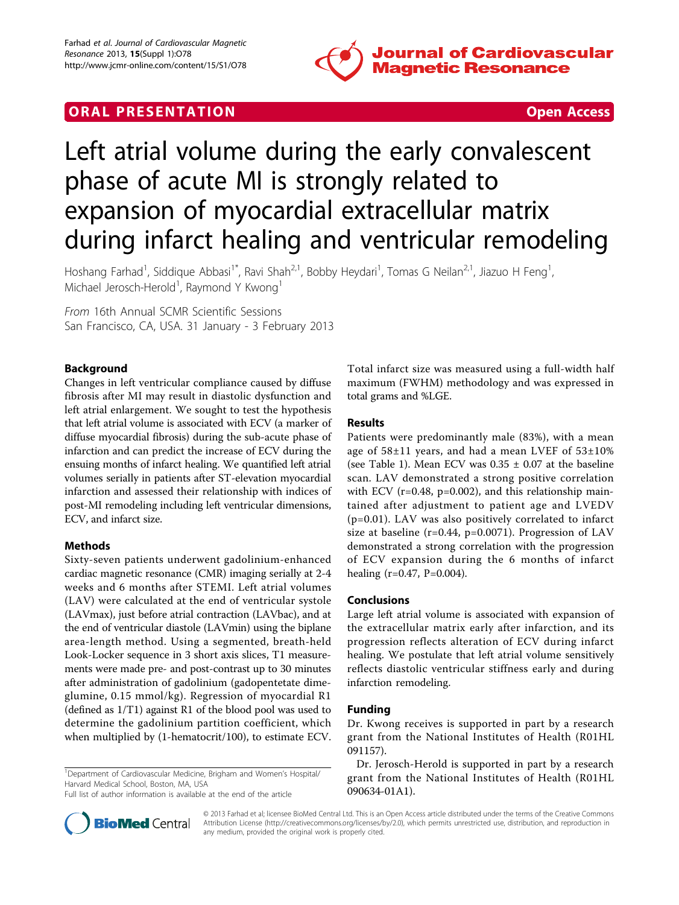

## **ORAL PRESENTATION CONSUMING ACCESS**



# Left atrial volume during the early convalescent phase of acute MI is strongly related to expansion of myocardial extracellular matrix during infarct healing and ventricular remodeling

Hoshang Farhad<sup>1</sup>, Siddique Abbasi<sup>1\*</sup>, Ravi Shah<sup>2,1</sup>, Bobby Heydari<sup>1</sup>, Tomas G Neilan<sup>2,1</sup>, Jiazuo H Feng<sup>1</sup> , Michael Jerosch-Herold<sup>1</sup>, Raymond Y Kwong<sup>1</sup>

From 16th Annual SCMR Scientific Sessions San Francisco, CA, USA. 31 January - 3 February 2013

### Background

Changes in left ventricular compliance caused by diffuse fibrosis after MI may result in diastolic dysfunction and left atrial enlargement. We sought to test the hypothesis that left atrial volume is associated with ECV (a marker of diffuse myocardial fibrosis) during the sub-acute phase of infarction and can predict the increase of ECV during the ensuing months of infarct healing. We quantified left atrial volumes serially in patients after ST-elevation myocardial infarction and assessed their relationship with indices of post-MI remodeling including left ventricular dimensions, ECV, and infarct size.

#### Methods

Sixty-seven patients underwent gadolinium-enhanced cardiac magnetic resonance (CMR) imaging serially at 2-4 weeks and 6 months after STEMI. Left atrial volumes (LAV) were calculated at the end of ventricular systole (LAVmax), just before atrial contraction (LAVbac), and at the end of ventricular diastole (LAVmin) using the biplane area-length method. Using a segmented, breath-held Look-Locker sequence in 3 short axis slices, T1 measurements were made pre- and post-contrast up to 30 minutes after administration of gadolinium (gadopentetate dimeglumine, 0.15 mmol/kg). Regression of myocardial R1 (defined as 1/T1) against R1 of the blood pool was used to determine the gadolinium partition coefficient, which when multiplied by (1-hematocrit/100), to estimate ECV.

<sup>1</sup>Department of Cardiovascular Medicine, Brigham and Women's Hospital/ Harvard Medical School, Boston, MA, USA

Full list of author information is available at the end of the article

Total infarct size was measured using a full-width half maximum (FWHM) methodology and was expressed in total grams and %LGE.

#### Results

Patients were predominantly male (83%), with a mean age of  $58\pm11$  years, and had a mean LVEF of  $53\pm10\%$ (see Table [1\)](#page-1-0). Mean ECV was  $0.35 \pm 0.07$  at the baseline scan. LAV demonstrated a strong positive correlation with ECV ( $r=0.48$ ,  $p=0.002$ ), and this relationship maintained after adjustment to patient age and LVEDV (p=0.01). LAV was also positively correlated to infarct size at baseline (r=0.44, p=0.0071). Progression of LAV demonstrated a strong correlation with the progression of ECV expansion during the 6 months of infarct healing  $(r=0.47, P=0.004)$ .

#### Conclusions

Large left atrial volume is associated with expansion of the extracellular matrix early after infarction, and its progression reflects alteration of ECV during infarct healing. We postulate that left atrial volume sensitively reflects diastolic ventricular stiffness early and during infarction remodeling.

#### Funding

Dr. Kwong receives is supported in part by a research grant from the National Institutes of Health (R01HL 091157).

Dr. Jerosch-Herold is supported in part by a research grant from the National Institutes of Health (R01HL 090634-01A1).



© 2013 Farhad et al; licensee BioMed Central Ltd. This is an Open Access article distributed under the terms of the Creative Commons Attribution License [\(http://creativecommons.org/licenses/by/2.0](http://creativecommons.org/licenses/by/2.0)), which permits unrestricted use, distribution, and reproduction in any medium, provided the original work is properly cited.